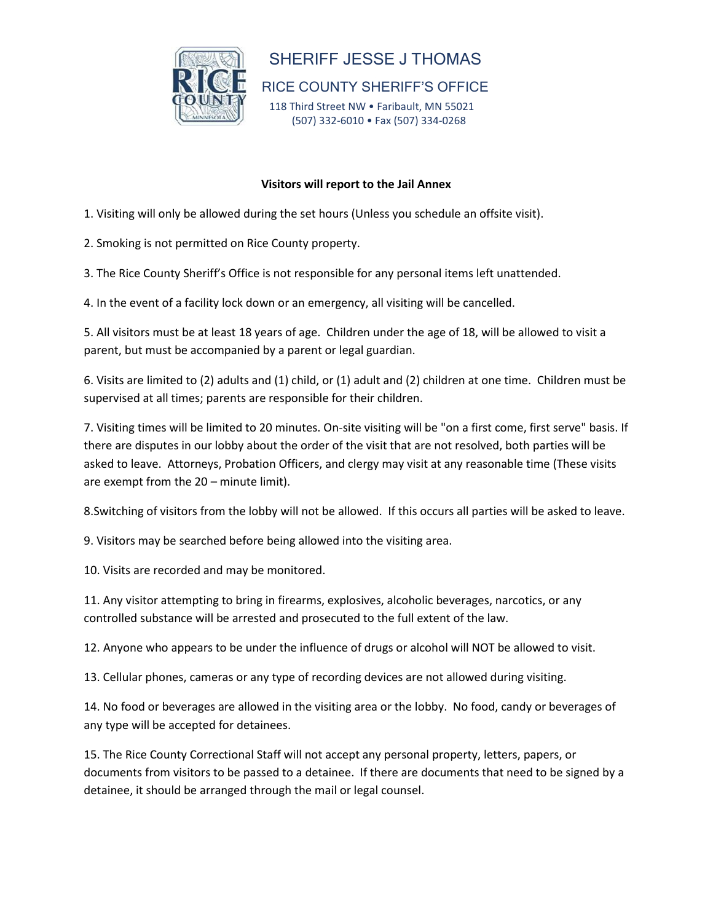

## SHERIFF JESSE J THOMAS

RICE COUNTY SHERIFF'S OFFICE

118 Third Street NW . Faribault, MN 55021 (507) 332-6010 • Fax (507) 334-0268

## **Visitors will report to the Jail Annex**

- 1. Visiting will only be allowed during the set hours (Unless you schedule an offsite visit).
- 2. Smoking is not permitted on Rice County property.
- 3. The Rice County Sheriff's Office is not responsible for any personal items left unattended.
- 4. In the event of a facility lock down or an emergency, all visiting will be cancelled.

5. All visitors must be at least 18 years of age. Children under the age of 18, will be allowed to visit a parent, but must be accompanied by a parent or legal guardian.

6. Visits are limited to (2) adults and (1) child, or (1) adult and (2) children at one time. Children must be supervised at all times; parents are responsible for their children.

7. Visiting times will be limited to 20 minutes. On-site visiting will be "on a first come, first serve" basis. If there are disputes in our lobby about the order of the visit that are not resolved, both parties will be asked to leave. Attorneys, Probation Officers, and clergy may visit at any reasonable time (These visits are exempt from the 20 – minute limit).

8.Switching of visitors from the lobby will not be allowed. If this occurs all parties will be asked to leave.

9. Visitors may be searched before being allowed into the visiting area.

10. Visits are recorded and may be monitored.

11. Any visitor attempting to bring in firearms, explosives, alcoholic beverages, narcotics, or any controlled substance will be arrested and prosecuted to the full extent of the law.

12. Anyone who appears to be under the influence of drugs or alcohol will NOT be allowed to visit.

13. Cellular phones, cameras or any type of recording devices are not allowed during visiting.

14. No food or beverages are allowed in the visiting area or the lobby. No food, candy or beverages of any type will be accepted for detainees.

15. The Rice County Correctional Staff will not accept any personal property, letters, papers, or documents from visitors to be passed to a detainee. If there are documents that need to be signed by a detainee, it should be arranged through the mail or legal counsel.